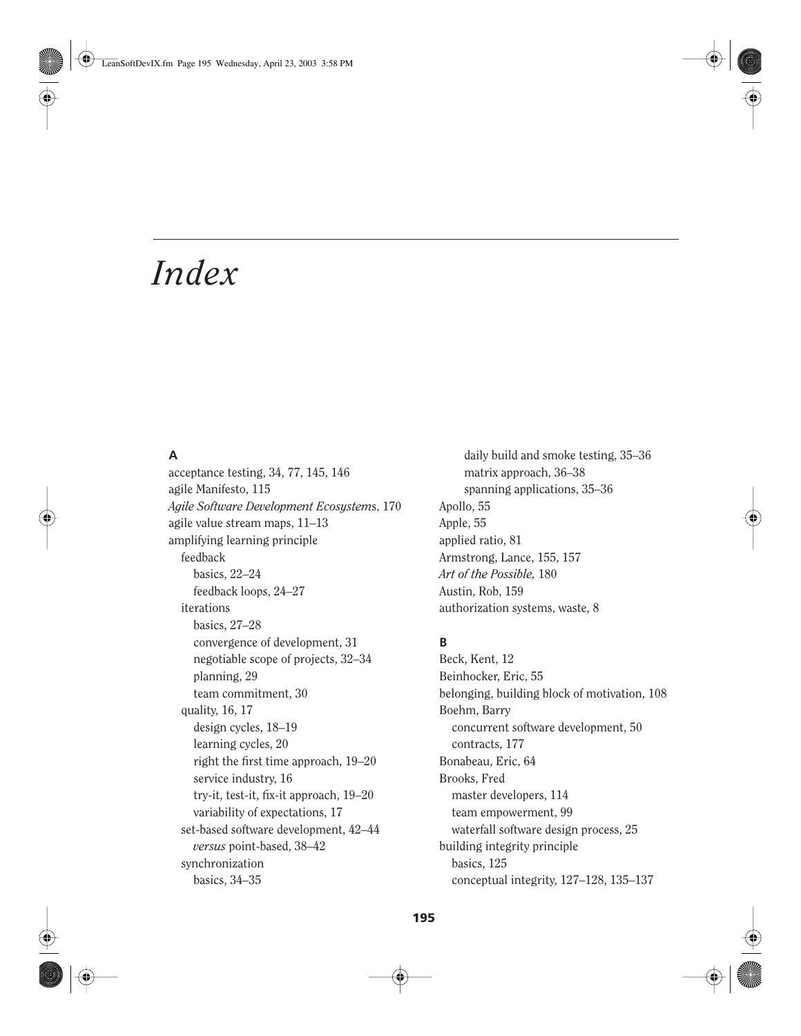# **A**

acceptance testing, 34, 77, 145, 146 agile Manifesto, 115 *Agile Software Development Ecosystem*s, 170 agile value stream maps, 11–13 amplifying learning principle feedback basics, 22–24 feedback loops, 24–27 iterations basics, 27–28 convergence of development, 31 negotiable scope of projects, 32–34 planning, 29 team commitment, 30 quality, 16, 17 design cycles, 18–19 learning cycles, 20 right the first time approach, 19–20 service industry, 16 try-it, test-it, fix-it approach, 19–20 variability of expectations, 17 set-based software development, 42–44 *versus* point-based, 38–42 synchronization basics, 34–35

daily build and smoke testing, 35–36 matrix approach, 36–38 spanning applications, 35–36 Apollo, 55 Apple, 55 applied ratio, 81 Armstrong, Lance, 155, 157 *Art of the Possible,* 180 Austin, Rob, 159 authorization systems, waste, 8

# **B**

Beck, Kent, 12 Beinhocker, Eric, 55 belonging, building block of motivation, 108 Boehm, Barry concurrent software development, 50 contracts, 177 Bonabeau, Eric, 64 Brooks, Fred master developers, 114 team empowerment, 99 waterfall software design process, 25 building integrity principle basics, 125 conceptual integrity, 127–128, 135–137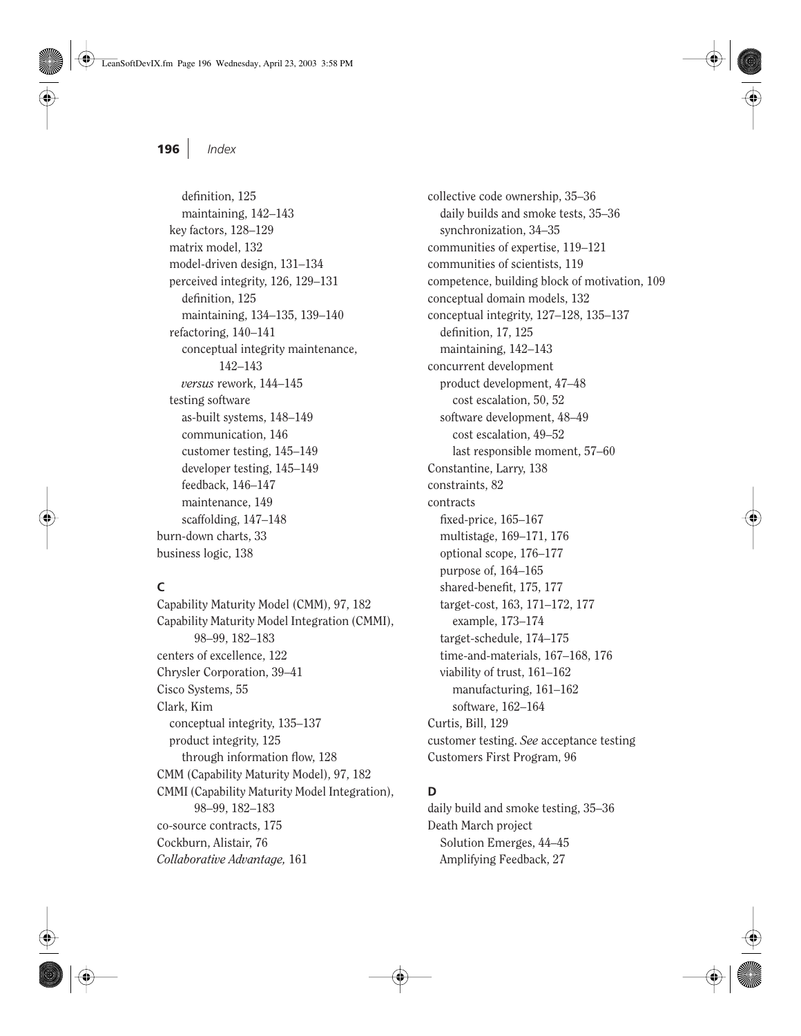definition, 125 maintaining, 142–143 key factors, 128–129 matrix model, 132 model-driven design, 131–134 perceived integrity, 126, 129–131 definition, 125 maintaining, 134–135, 139–140 refactoring, 140–141 conceptual integrity maintenance, 142–143 *versus* rework, 144–145 testing software as-built systems, 148–149 communication, 146 customer testing, 145–149 developer testing, 145–149 feedback, 146–147 maintenance, 149 scaffolding, 147–148 burn-down charts, 33 business logic, 138

# **C**

Capability Maturity Model (CMM), 97, 182 Capability Maturity Model Integration (CMMI), 98–99, 182–183 centers of excellence, 122 Chrysler Corporation, 39–41 Cisco Systems, 55 Clark, Kim conceptual integrity, 135–137 product integrity, 125 through information flow, 128 CMM (Capability Maturity Model), 97, 182 CMMI (Capability Maturity Model Integration), 98–99, 182–183 co-source contracts, 175 Cockburn, Alistair, 76 *Collaborative Advantage,* 161

collective code ownership, 35–36 daily builds and smoke tests, 35–36 synchronization, 34–35 communities of expertise, 119–121 communities of scientists, 119 competence, building block of motivation, 109 conceptual domain models, 132 conceptual integrity, 127–128, 135–137 definition, 17, 125 maintaining, 142–143 concurrent development product development, 47–48 cost escalation, 50, 52 software development, 48–49 cost escalation, 49–52 last responsible moment, 57–60 Constantine, Larry, 138 constraints, 82 contracts fixed-price, 165–167 multistage, 169–171, 176 optional scope, 176–177 purpose of, 164–165 shared-benefit, 175, 177 target-cost, 163, 171–172, 177 example, 173–174 target-schedule, 174–175 time-and-materials, 167–168, 176 viability of trust, 161–162 manufacturing, 161–162 software, 162–164 Curtis, Bill, 129 customer testing. *See* acceptance testing Customers First Program, 96

#### **D**

daily build and smoke testing, 35–36 Death March project Solution Emerges, 44–45 Amplifying Feedback, 27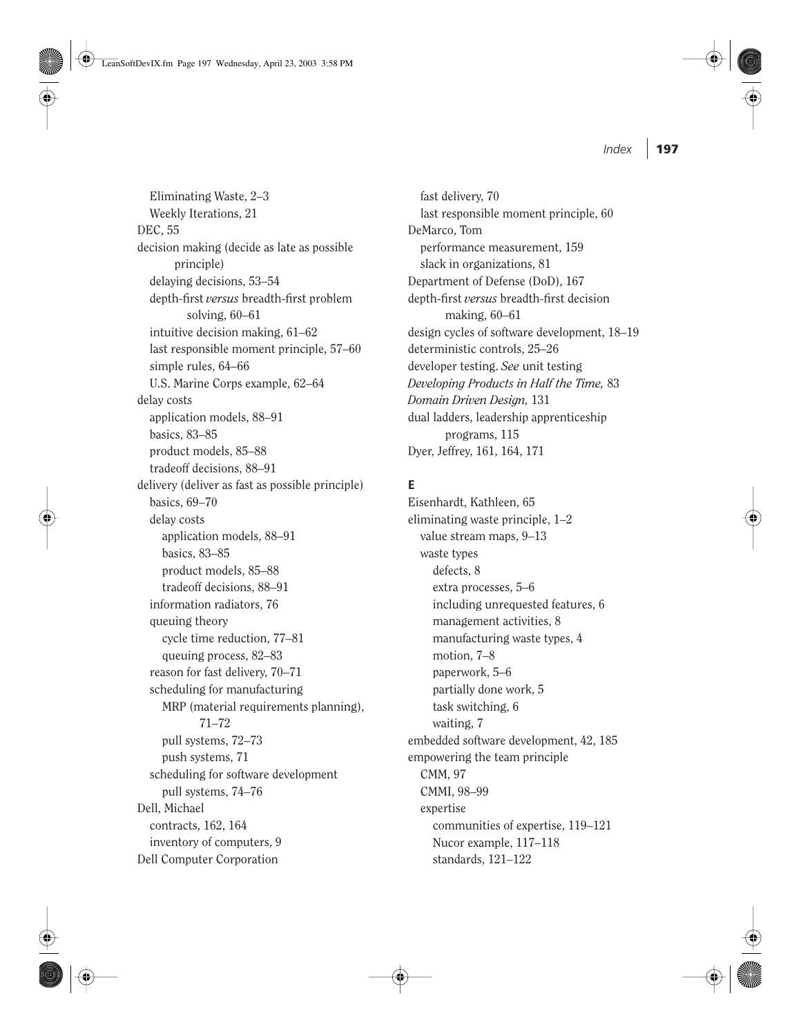LeanSoftDevIX.fm Page 197 Wednesday, April 23, 2003 3:58 PM

*Index* **197**

Eliminating Waste, 2–3 Weekly Iterations, 21 DEC, 55 decision making (decide as late as possible principle) delaying decisions, 53–54 depth-first *versus* breadth-first problem solving, 60–61 intuitive decision making, 61–62 last responsible moment principle, 57–60 simple rules, 64–66 U.S. Marine Corps example, 62–64 delay costs application models, 88–91 basics, 83–85 product models, 85–88 tradeoff decisions, 88–91 delivery (deliver as fast as possible principle) basics, 69–70 delay costs application models, 88–91 basics, 83–85 product models, 85–88 tradeoff decisions, 88–91 information radiators, 76 queuing theory cycle time reduction, 77–81 queuing process, 82–83 reason for fast delivery, 70–71 scheduling for manufacturing MRP (material requirements planning), 71–72 pull systems, 72–73 push systems, 71 scheduling for software development pull systems, 74–76 Dell, Michael contracts, 162, 164 inventory of computers, 9 Dell Computer Corporation

fast delivery, 70 last responsible moment principle, 60 DeMarco, Tom performance measurement, 159 slack in organizations, 81 Department of Defense (DoD), 167 depth-first *versus* breadth-first decision making, 60–61 design cycles of software development, 18–19 deterministic controls, 25–26 developer testing. *See* unit testing *Developing Products in Half the Time,* 83 *Domain Driven Design,* 131 dual ladders, leadership apprenticeship programs, 115 Dyer, Jeffrey, 161, 164, 171

#### **E**

Eisenhardt, Kathleen, 65 eliminating waste principle, 1–2 value stream maps, 9–13 waste types defects, 8 extra processes, 5–6 including unrequested features, 6 management activities, 8 manufacturing waste types, 4 motion, 7–8 paperwork, 5–6 partially done work, 5 task switching, 6 waiting, 7 embedded software development, 42, 185 empowering the team principle CMM, 97 CMMI, 98–99 expertise communities of expertise, 119–121 Nucor example, 117–118 standards, 121–122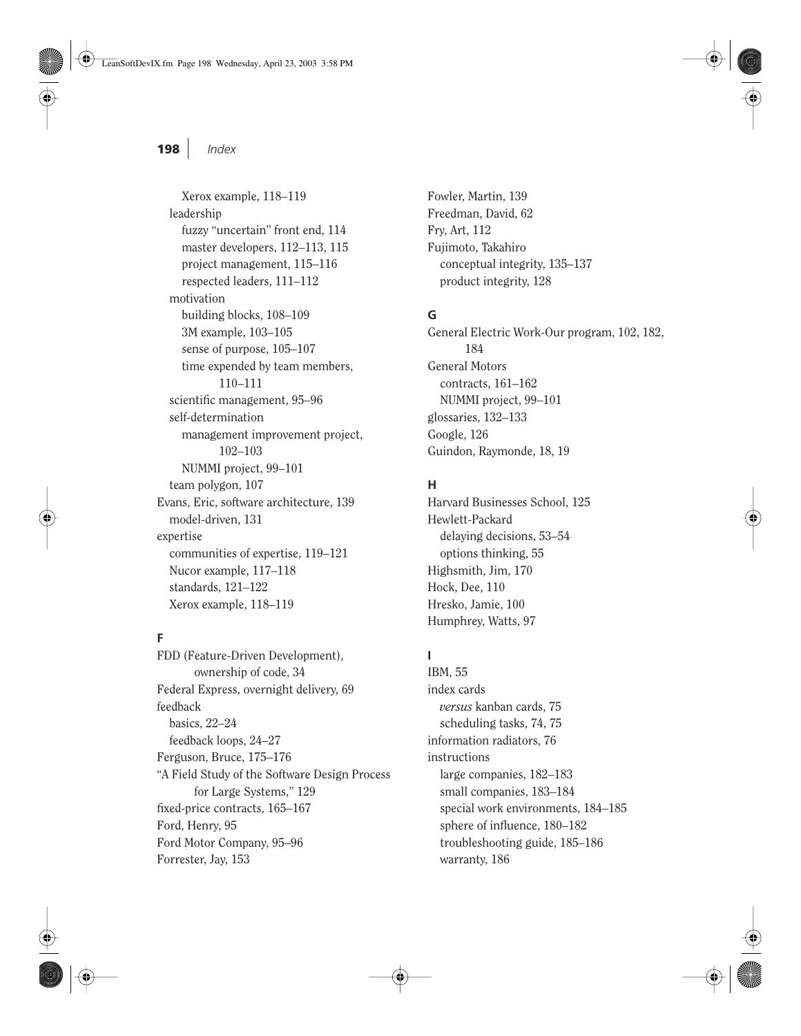Xerox example, 118–119 leadership fuzzy "uncertain" front end, 114 master developers, 112–113, 115 project management, 115–116 respected leaders, 111–112 motivation building blocks, 108–109 3M example, 103–105 sense of purpose, 105–107 time expended by team members, 110–111 scientific management, 95–96 self-determination management improvement project, 102–103 NUMMI project, 99–101 team polygon, 107 Evans, Eric, software architecture, 139 model-driven, 131 expertise communities of expertise, 119–121 Nucor example, 117–118 standards, 121–122 Xerox example, 118–119

#### **F**

FDD (Feature-Driven Development), ownership of code, 34 Federal Express, overnight delivery, 69 feedback basics, 22–24 feedback loops, 24–27 Ferguson, Bruce, 175–176 "A Field Study of the Software Design Process for Large Systems," 129 fixed-price contracts, 165–167 Ford, Henry, 95 Ford Motor Company, 95–96 Forrester, Jay, 153

Fowler, Martin, 139 Freedman, David, 62 Fry, Art, 112 Fujimoto, Takahiro conceptual integrity, 135–137 product integrity, 128

#### **G**

General Electric Work-Our program, 102, 182, 184 General Motors contracts, 161–162 NUMMI project, 99–101 glossaries, 132–133 Google, 126 Guindon, Raymonde, 18, 19

#### **H**

Harvard Businesses School, 125 Hewlett-Packard delaying decisions, 53–54 options thinking, 55 Highsmith, Jim, 170 Hock, Dee, 110 Hresko, Jamie, 100 Humphrey, Watts, 97

### **I**

IBM, 55 index cards *versus* kanban cards, 75 scheduling tasks, 74, 75 information radiators, 76 instructions large companies, 182–183 small companies, 183–184 special work environments, 184–185 sphere of influence, 180–182 troubleshooting guide, 185–186 warranty, 186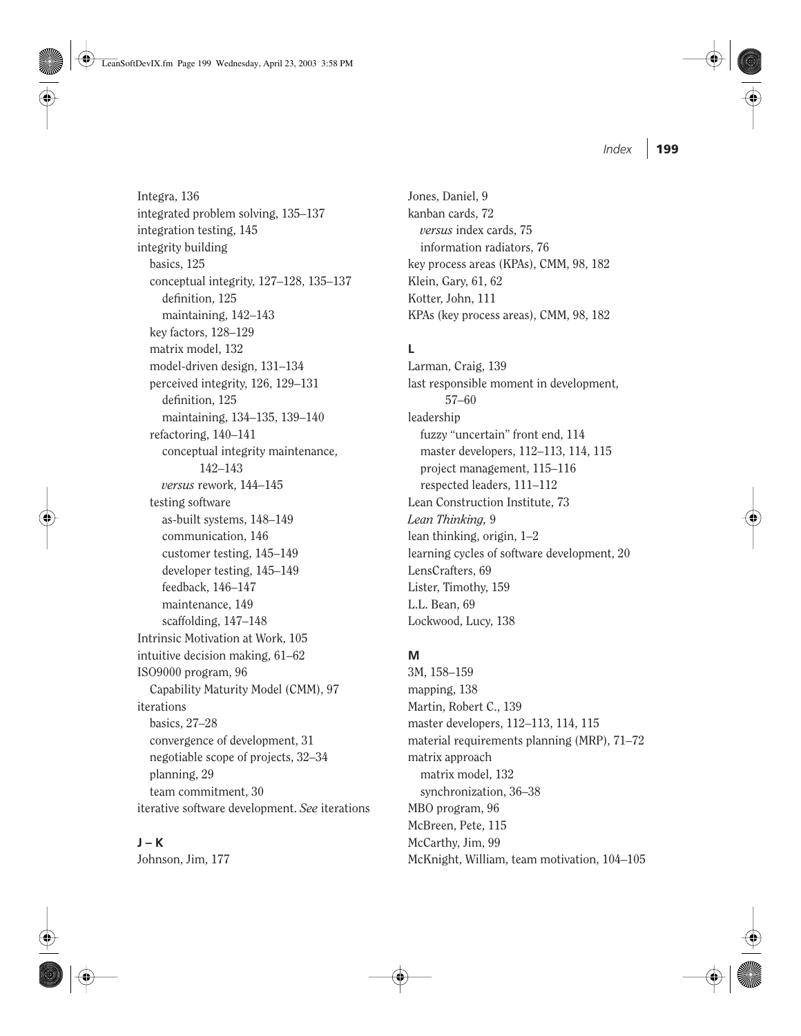LeanSoftDevIX.fm Page 199 Wednesday, April 23, 2003 3:58 PM

Integra, 136 integrated problem solving, 135–137 integration testing, 145 integrity building basics, 125 conceptual integrity, 127–128, 135–137 definition, 125 maintaining, 142–143 key factors, 128–129 matrix model, 132 model-driven design, 131–134 perceived integrity, 126, 129–131 definition, 125 maintaining, 134–135, 139–140 refactoring, 140–141 conceptual integrity maintenance, 142–143 *versus* rework, 144–145 testing software as-built systems, 148–149 communication, 146 customer testing, 145–149 developer testing, 145–149 feedback, 146–147 maintenance, 149 scaffolding, 147–148 Intrinsic Motivation at Work, 105 intuitive decision making, 61–62 ISO9000 program, 96 Capability Maturity Model (CMM), 97 iterations basics, 27–28 convergence of development, 31 negotiable scope of projects, 32–34 planning, 29 team commitment, 30 iterative software development. *See* iterations

# **J – K**

Johnson, Jim, 177

Jones, Daniel, 9 kanban cards, 72 *versus* index cards, 75 information radiators, 76 key process areas (KPAs), CMM, 98, 182 Klein, Gary, 61, 62 Kotter, John, 111 KPAs (key process areas), CMM, 98, 182

# **L**

Larman, Craig, 139 last responsible moment in development, 57–60 leadership fuzzy "uncertain" front end, 114 master developers, 112–113, 114, 115 project management, 115–116 respected leaders, 111–112 Lean Construction Institute, 73 *Lean Thinking,* 9 lean thinking, origin, 1–2 learning cycles of software development, 20 LensCrafters, 69 Lister, Timothy, 159 L.L. Bean, 69 Lockwood, Lucy, 138

#### **M**

3M, 158–159 mapping, 138 Martin, Robert C., 139 master developers, 112–113, 114, 115 material requirements planning (MRP), 71–72 matrix approach matrix model, 132 synchronization, 36–38 MBO program, 96 McBreen, Pete, 115 McCarthy, Jim, 99 McKnight, William, team motivation, 104–105

*Index* **199**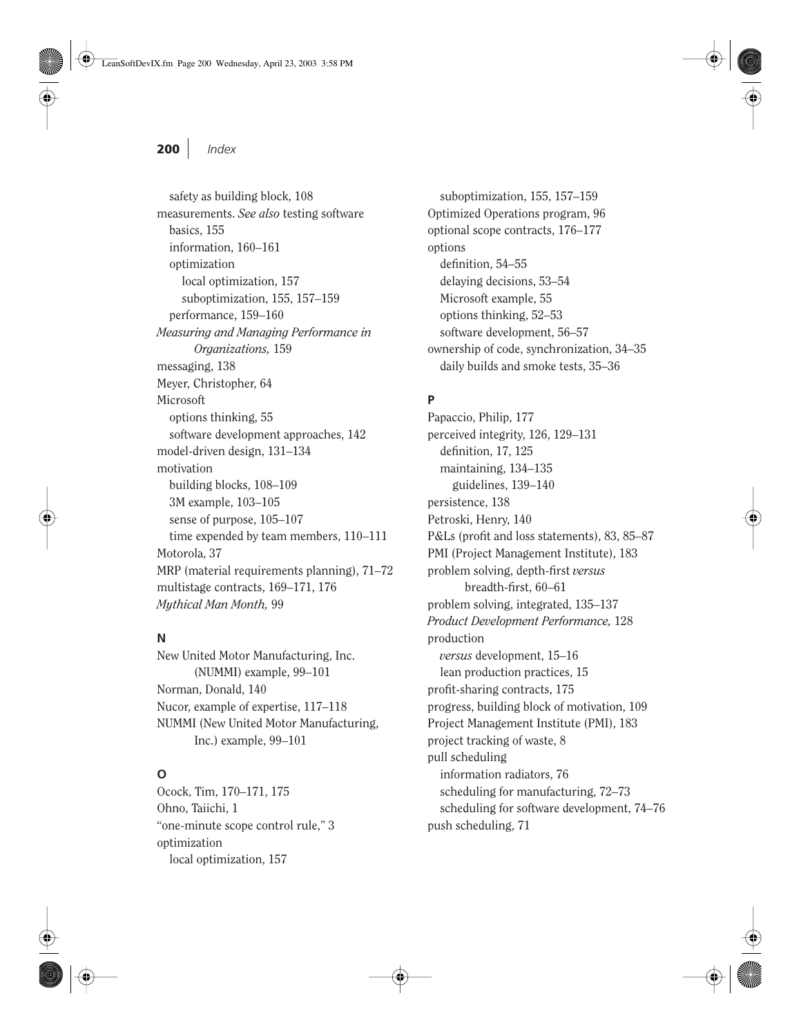safety as building block, 108 measurements. *See also* testing software basics, 155 information, 160–161 optimization local optimization, 157 suboptimization, 155, 157–159 performance, 159–160 *Measuring and Managing Performance in Organizations,* 159 messaging, 138 Meyer, Christopher, 64 Microsoft options thinking, 55 software development approaches, 142 model-driven design, 131–134 motivation building blocks, 108–109 3M example, 103–105 sense of purpose, 105–107 time expended by team members, 110–111 Motorola, 37 MRP (material requirements planning), 71–72 multistage contracts, 169–171, 176 *Mythical Man Month,* 99

#### **N**

New United Motor Manufacturing, Inc. (NUMMI) example, 99–101 Norman, Donald, 140 Nucor, example of expertise, 117–118 NUMMI (New United Motor Manufacturing, Inc.) example, 99–101

# **O**

Ocock, Tim, 170–171, 175 Ohno, Taiichi, 1 "one-minute scope control rule," 3 optimization local optimization, 157

suboptimization, 155, 157–159 Optimized Operations program, 96 optional scope contracts, 176–177 options definition, 54–55 delaying decisions, 53–54 Microsoft example, 55 options thinking, 52–53 software development, 56–57 ownership of code, synchronization, 34–35 daily builds and smoke tests, 35–36

# **P**

Papaccio, Philip, 177 perceived integrity, 126, 129–131 definition, 17, 125 maintaining, 134–135 guidelines, 139–140 persistence, 138 Petroski, Henry, 140 P&Ls (profit and loss statements), 83, 85–87 PMI (Project Management Institute), 183 problem solving, depth-first *versus* breadth-first, 60–61 problem solving, integrated, 135–137 *Product Development Performance,* 128 production *versus* development, 15–16 lean production practices, 15 profit-sharing contracts, 175 progress, building block of motivation, 109 Project Management Institute (PMI), 183 project tracking of waste, 8 pull scheduling information radiators, 76 scheduling for manufacturing, 72–73 scheduling for software development, 74–76 push scheduling, 71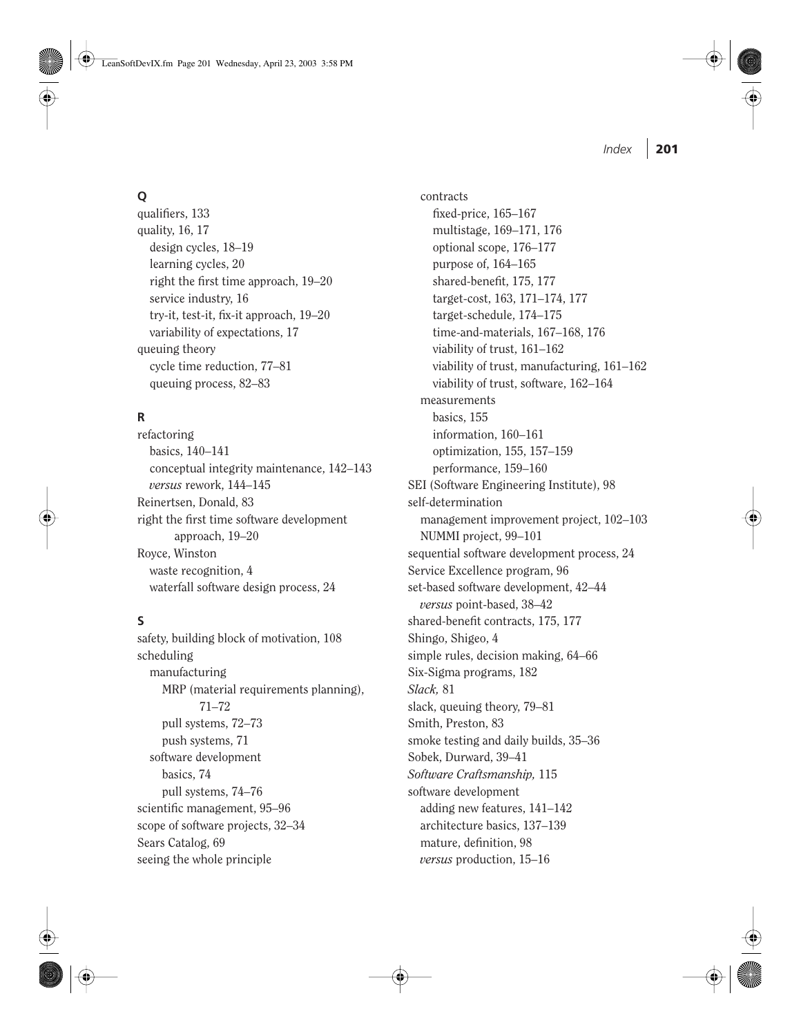#### LeanSoftDevIX.fm Page 201 Wednesday, April 23, 2003 3:58 PM

# **Q**

qualifiers, 133 quality, 16, 17 design cycles, 18–19 learning cycles, 20 right the first time approach, 19–20 service industry, 16 try-it, test-it, fix-it approach, 19–20 variability of expectations, 17 queuing theory cycle time reduction, 77–81 queuing process, 82–83

# **R**

refactoring basics, 140–141 conceptual integrity maintenance, 142–143 *versus* rework, 144–145 Reinertsen, Donald, 83 right the first time software development approach, 19–20 Royce, Winston waste recognition, 4 waterfall software design process, 24

# **S**

safety, building block of motivation, 108 scheduling manufacturing MRP (material requirements planning), 71–72 pull systems, 72–73 push systems, 71 software development basics, 74 pull systems, 74–76 scientific management, 95–96 scope of software projects, 32–34 Sears Catalog, 69 seeing the whole principle

contracts fixed-price, 165–167 multistage, 169–171, 176 optional scope, 176–177 purpose of, 164–165 shared-benefit, 175, 177 target-cost, 163, 171–174, 177 target-schedule, 174–175 time-and-materials, 167–168, 176 viability of trust, 161–162 viability of trust, manufacturing, 161–162 viability of trust, software, 162–164 measurements basics, 155 information, 160–161 optimization, 155, 157–159 performance, 159–160 SEI (Software Engineering Institute), 98 self-determination management improvement project, 102–103 NUMMI project, 99–101 sequential software development process, 24 Service Excellence program, 96 set-based software development, 42–44 *versus* point-based, 38–42 shared-benefit contracts, 175, 177 Shingo, Shigeo, 4 simple rules, decision making, 64–66 Six-Sigma programs, 182 *Slack,* 81 slack, queuing theory, 79–81 Smith, Preston, 83 smoke testing and daily builds, 35–36 Sobek, Durward, 39–41 *Software Craftsmanship,* 115 software development adding new features, 141–142 architecture basics, 137–139

mature, definition, 98 *versus* production, 15–16 *Index* **201**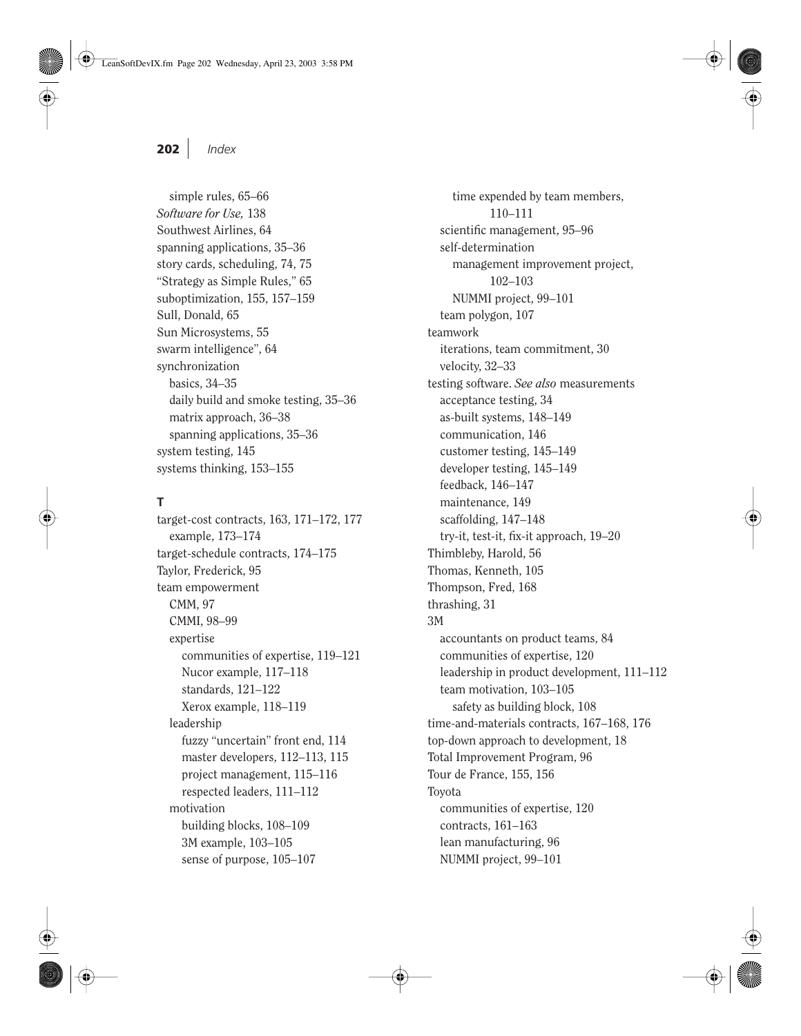simple rules, 65–66 *Software for Use,* 138 Southwest Airlines, 64 spanning applications, 35–36 story cards, scheduling, 74, 75 "Strategy as Simple Rules," 65 suboptimization, 155, 157–159 Sull, Donald, 65 Sun Microsystems, 55 swarm intelligence", 64 synchronization basics, 34–35 daily build and smoke testing, 35–36 matrix approach, 36–38 spanning applications, 35–36 system testing, 145 systems thinking, 153–155

#### **T**

target-cost contracts, 163, 171–172, 177 example, 173–174 target-schedule contracts, 174–175 Taylor, Frederick, 95 team empowerment CMM, 97 CMMI, 98–99 expertise communities of expertise, 119–121 Nucor example, 117–118 standards, 121–122 Xerox example, 118–119 leadership fuzzy "uncertain" front end, 114 master developers, 112–113, 115 project management, 115–116 respected leaders, 111–112 motivation building blocks, 108–109 3M example, 103–105 sense of purpose, 105–107

time expended by team members, 110–111 scientific management, 95–96 self-determination management improvement project, 102–103 NUMMI project, 99–101 team polygon, 107 teamwork iterations, team commitment, 30 velocity, 32–33 testing software. *See also* measurements acceptance testing, 34 as-built systems, 148–149 communication, 146 customer testing, 145–149 developer testing, 145–149 feedback, 146–147 maintenance, 149 scaffolding, 147–148 try-it, test-it, fix-it approach, 19–20 Thimbleby, Harold, 56 Thomas, Kenneth, 105 Thompson, Fred, 168 thrashing, 31 3M accountants on product teams, 84 communities of expertise, 120 leadership in product development, 111–112 team motivation, 103–105 safety as building block, 108 time-and-materials contracts, 167–168, 176 top-down approach to development, 18 Total Improvement Program, 96 Tour de France, 155, 156 Toyota communities of expertise, 120 contracts, 161–163 lean manufacturing, 96 NUMMI project, 99–101